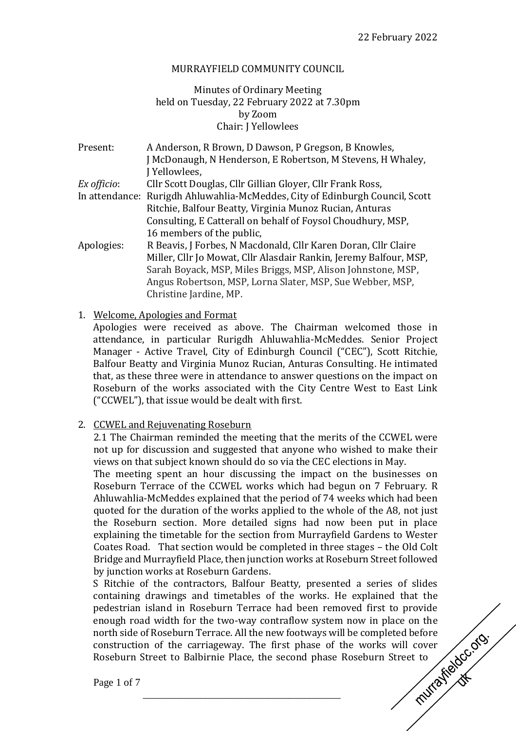## MURRAYFIELD COMMUNITY COUNCIL

# Minutes of Ordinary Meeting held on Tuesday, 22 February 2022 at 7.30pm by Zoom Chair: J Yellowlees

| Present:    | A Anderson, R Brown, D Dawson, P Gregson, B Knowles,                         |
|-------------|------------------------------------------------------------------------------|
|             | J McDonaugh, N Henderson, E Robertson, M Stevens, H Whaley,                  |
|             | J Yellowlees,                                                                |
| Ex officio: | Cllr Scott Douglas, Cllr Gillian Gloyer, Cllr Frank Ross,                    |
|             | In attendance: Rurigdh Ahluwahlia-McMeddes, City of Edinburgh Council, Scott |
|             | Ritchie, Balfour Beatty, Virginia Munoz Rucian, Anturas                      |
|             | Consulting, E Catterall on behalf of Foysol Choudhury, MSP,                  |
|             | 16 members of the public,                                                    |
| Apologies:  | R Beavis, J Forbes, N Macdonald, Cllr Karen Doran, Cllr Claire               |
|             | Miller, Cllr Jo Mowat, Cllr Alasdair Rankin, Jeremy Balfour, MSP,            |
|             | Sarah Boyack, MSP, Miles Briggs, MSP, Alison Johnstone, MSP,                 |
|             | Angus Robertson, MSP, Lorna Slater, MSP, Sue Webber, MSP,                    |
|             | Christine Jardine, MP.                                                       |

1. Welcome, Apologies and Format

Apologies were received as above. The Chairman welcomed those in attendance, in particular Rurigdh Ahluwahlia-McMeddes. Senior Project Manager - Active Travel, City of Edinburgh Council ("CEC"), Scott Ritchie, Balfour Beatty and Virginia Munoz Rucian, Anturas Consulting. He intimated that, as these three were in attendance to answer questions on the impact on Roseburn of the works associated with the City Centre West to East Link ("CCWEL"), that issue would be dealt with first.

2. CCWEL and Rejuvenating Roseburn

2.1 The Chairman reminded the meeting that the merits of the CCWEL were not up for discussion and suggested that anyone who wished to make their views on that subject known should do so via the CEC elections in May.

The meeting spent an hour discussing the impact on the businesses on Roseburn Terrace of the CCWEL works which had begun on 7 February. R Ahluwahlia-McMeddes explained that the period of 74 weeks which had been quoted for the duration of the works applied to the whole of the A8, not just the Roseburn section. More detailed signs had now been put in place explaining the timetable for the section from Murrayfield Gardens to Wester Coates Road. That section would be completed in three stages – the Old Colt Bridge and Murrayfield Place, then junction works at Roseburn Street followed by junction works at Roseburn Gardens.

S Ritchie of the contractors, Balfour Beatty, presented a series of slides containing drawings and timetables of the works. He explained that the pedestrian island in Roseburn Terrace had been removed first to provide<br>enough road width for the two-way contraflow system now in place on the<br>north side of Roseburn Terrace. All the new footways will be completed before<br> enough road width for the two-way contraflow system now in place on the north side of Roseburn Terrace. All the new footways will be completed before construction of the carriageway. The first phase of the works will cover Roseburn Street to Balbirnie Place, the second phase Roseburn Street to

\_\_\_\_\_\_\_\_\_\_\_\_\_\_\_\_\_\_\_\_\_\_\_\_\_\_\_\_\_\_\_\_\_\_\_\_\_\_

Page 1 of 7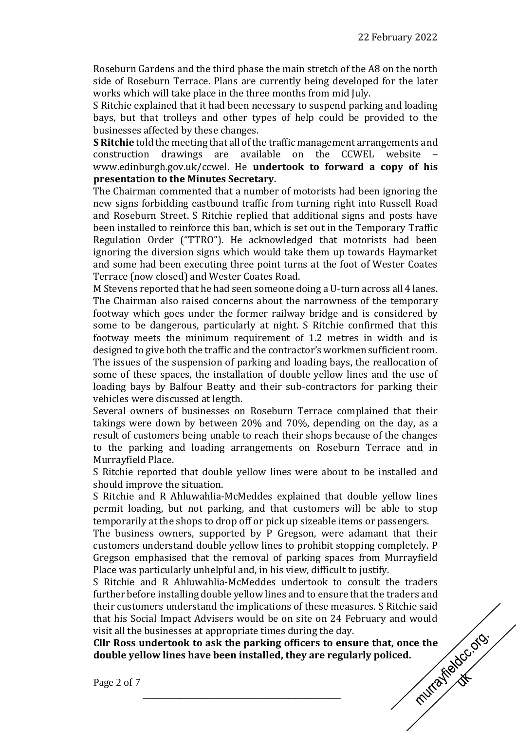Roseburn Gardens and the third phase the main stretch of the A8 on the north side of Roseburn Terrace. Plans are currently being developed for the later works which will take place in the three months from mid July.

S Ritchie explained that it had been necessary to suspend parking and loading bays, but that trolleys and other types of help could be provided to the businesses affected by these changes.

**S Ritchie** told the meeting that all of the traffic management arrangements and construction drawings are available on the CCWEL website – www.edinburgh.gov.uk/ccwel. He **undertook to forward a copy of his presentation to the Minutes Secretary.**

The Chairman commented that a number of motorists had been ignoring the new signs forbidding eastbound traffic from turning right into Russell Road and Roseburn Street. S Ritchie replied that additional signs and posts have been installed to reinforce this ban, which is set out in the Temporary Traffic Regulation Order ("TTRO"). He acknowledged that motorists had been ignoring the diversion signs which would take them up towards Haymarket and some had been executing three point turns at the foot of Wester Coates Terrace (now closed) and Wester Coates Road.

M Stevens reported that he had seen someone doing a U-turn across all 4 lanes. The Chairman also raised concerns about the narrowness of the temporary footway which goes under the former railway bridge and is considered by some to be dangerous, particularly at night. S Ritchie confirmed that this footway meets the minimum requirement of 1.2 metres in width and is designed to give both the traffic and the contractor's workmen sufficient room. The issues of the suspension of parking and loading bays, the reallocation of some of these spaces, the installation of double yellow lines and the use of loading bays by Balfour Beatty and their sub-contractors for parking their vehicles were discussed at length.

Several owners of businesses on Roseburn Terrace complained that their takings were down by between 20% and 70%, depending on the day, as a result of customers being unable to reach their shops because of the changes to the parking and loading arrangements on Roseburn Terrace and in Murrayfield Place.

S Ritchie reported that double yellow lines were about to be installed and should improve the situation.

S Ritchie and R Ahluwahlia-McMeddes explained that double yellow lines permit loading, but not parking, and that customers will be able to stop temporarily at the shops to drop off or pick up sizeable items or passengers.

The business owners, supported by P Gregson, were adamant that their customers understand double yellow lines to prohibit stopping completely. P Gregson emphasised that the removal of parking spaces from Murrayfield Place was particularly unhelpful and, in his view, difficult to justify.

S Ritchie and R Ahluwahlia-McMeddes undertook to consult the traders further before installing double yellow lines and to ensure that the traders and their customers understand the implications of these measures. S Ritchie said visit all the businesses at appropriate times during the day.

that his Social Impact Advisers would be on site on 24 February and would<br>visit all the businesses at appropriate times during the day.<br>CIIr Ross undertook to ask the parking officers to ensure that, once the<br>double yello **Cllr Ross undertook to ask the parking officers to ensure that, once the double yellow lines have been installed, they are regularly policed.**

\_\_\_\_\_\_\_\_\_\_\_\_\_\_\_\_\_\_\_\_\_\_\_\_\_\_\_\_\_\_\_\_\_\_\_\_\_\_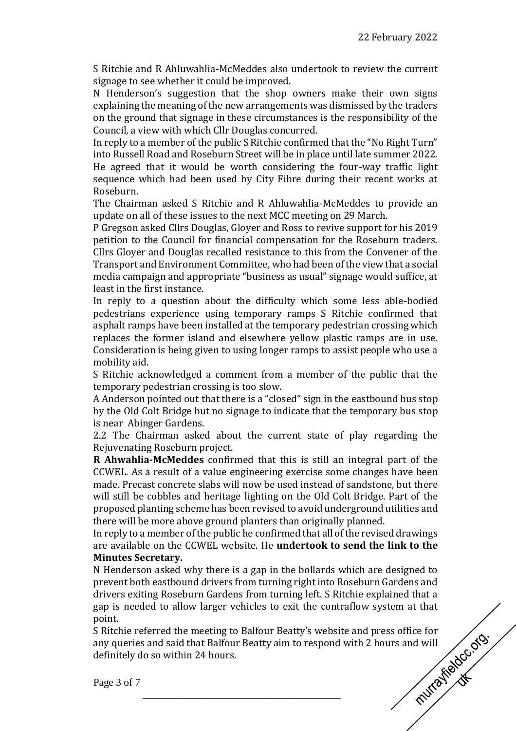S Ritchie and R Ahluwahlia-McMeddes also undertook to review the current signage to see whether it could be improved.

N Henderson's suggestion that the shop owners make their own signs explaining the meaning of the new arrangements was dismissed by the traders on the ground that signage in these circumstances is the responsibility of the Council, a view with which Cllr Douglas concurred.

In reply to a member of the public S Ritchie confirmed that the "No Right Turn" into Russell Road and Roseburn Street will be in place until late summer 2022. He agreed that it would be worth considering the four-way traffic light sequence which had been used by City Fibre during their recent works at Roseburn.

The Chairman asked S Ritchie and R Ahluwahlia-McMeddes to provide an update on all of these issues to the next MCC meeting on 29 March.

P Gregson asked Cllrs Douglas, Gloyer and Ross to revive support for his 2019 petition to the Council for financial compensation for the Roseburn traders. Cllrs Gloyer and Douglas recalled resistance to this from the Convener of the Transport and Environment Committee, who had been of the view that a social media campaign and appropriate "business as usual" signage would suffice, at least in the first instance.

In reply to a question about the difficulty which some less able-bodied pedestrians experience using temporary ramps S Ritchie confirmed that asphalt ramps have been installed at the temporary pedestrian crossing which replaces the former island and elsewhere yellow plastic ramps are in use. Consideration is being given to using longer ramps to assist people who use a mobility aid.

S Ritchie acknowledged a comment from a member of the public that the temporary pedestrian crossing is too slow.

A Anderson pointed out that there is a "closed" sign in the eastbound bus stop by the Old Colt Bridge but no signage to indicate that the temporary bus stop is near Abinger Gardens.

2.2 The Chairman asked about the current state of play regarding the Rejuvenating Roseburn project.

**R Ahwahlia-McMeddes** confirmed that this is still an integral part of the CCWEL. As a result of a value engineering exercise some changes have been made. Precast concrete slabs will now be used instead of sandstone, but there will still be cobbles and heritage lighting on the Old Colt Bridge. Part of the proposed planting scheme has been revised to avoid underground utilities and there will be more above ground planters than originally planned.

In reply to a member of the public he confirmed that all of the revised drawings are available on the CCWEL website. He **undertook to send the link to the Minutes Secretary.**

N Henderson asked why there is a gap in the bollards which are designed to prevent both eastbound drivers from turning right into Roseburn Gardens and drivers exiting Roseburn Gardens from turning left. S Ritchie explained that a gap is needed to allow larger vehicles to exit the contraflow system at that point.

S Ritchie referred the meeting to Balfour Beatty's website and press office for<br>any queries and said that Balfour Beatty aim to respond with 2 hours and will<br>definitely do so within 24 hours.<br>Page 3 of 7 any queries and said that Balfour Beatty aim to respond with 2 hours and will definitely do so within 24 hours.

\_\_\_\_\_\_\_\_\_\_\_\_\_\_\_\_\_\_\_\_\_\_\_\_\_\_\_\_\_\_\_\_\_\_\_\_\_\_

Page 3 of 7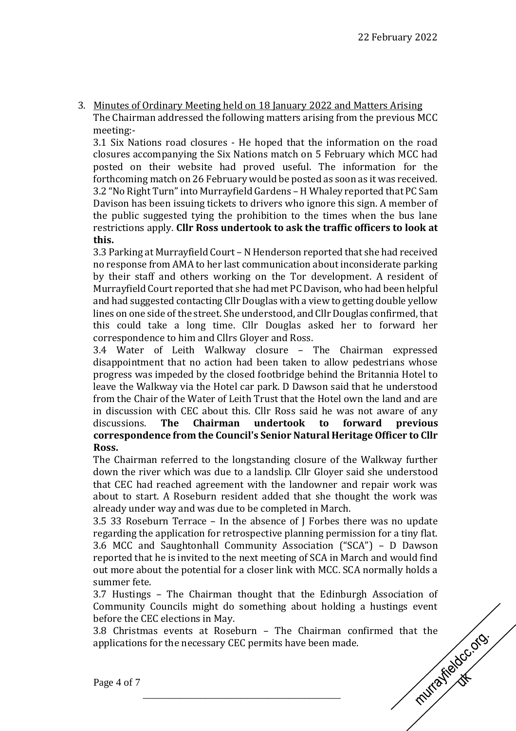3. Minutes of Ordinary Meeting held on 18 January 2022 and Matters Arising The Chairman addressed the following matters arising from the previous MCC meeting:-

3.1 Six Nations road closures - He hoped that the information on the road closures accompanying the Six Nations match on 5 February which MCC had posted on their website had proved useful. The information for the forthcoming match on 26 February would be posted as soon as it was received. 3.2 "No Right Turn"into Murrayfield Gardens – H Whaley reported that PC Sam Davison has been issuing tickets to drivers who ignore this sign. A member of the public suggested tying the prohibition to the times when the bus lane restrictions apply. **Cllr Ross undertook to ask the traffic officers to look at this.**

3.3 Parking at Murrayfield Court – N Henderson reported that she had received no response from AMA to her last communication about inconsiderate parking by their staff and others working on the Tor development. A resident of Murrayfield Court reported that she had met PC Davison, who had been helpful and had suggested contacting Cllr Douglas with a view to getting double yellow lines on one side of the street.She understood, and Cllr Douglas confirmed, that this could take a long time. Cllr Douglas asked her to forward her correspondence to him and Cllrs Gloyer and Ross.

3.4 Water of Leith Walkway closure – The Chairman expressed disappointment that no action had been taken to allow pedestrians whose progress was impeded by the closed footbridge behind the Britannia Hotel to leave the Walkway via the Hotel car park. D Dawson said that he understood from the Chair of the Water of Leith Trust that the Hotel own the land and are in discussion with CEC about this. Cllr Ross said he was not aware of any discussions. **The Chairman undertook to forward previous correspondence from the Council's Senior Natural Heritage Officer to Cllr Ross.**

The Chairman referred to the longstanding closure of the Walkway further down the river which was due to a landslip. Cllr Gloyer said she understood that CEC had reached agreement with the landowner and repair work was about to start. A Roseburn resident added that she thought the work was already under way and was due to be completed in March.

3.5 33 Roseburn Terrace – In the absence of J Forbes there was no update regarding the application for retrospective planning permission for a tiny flat. 3.6 MCC and Saughtonhall Community Association ("SCA") – D Dawson reported that he is invited to the next meeting of SCA in March and would find out more about the potential for a closer link with MCC. SCA normally holds a summer fete.

3.7 Hustings – The Chairman thought that the Edinburgh Association of Community Councils might do something about holding a hustings event before the CEC elections in May.

3.8 Christmas events at Roseburn – The Chairman confirmed that the applications for the necessary CEC permits have been made. applications for the necessary CEC permits have been made.

\_\_\_\_\_\_\_\_\_\_\_\_\_\_\_\_\_\_\_\_\_\_\_\_\_\_\_\_\_\_\_\_\_\_\_\_\_\_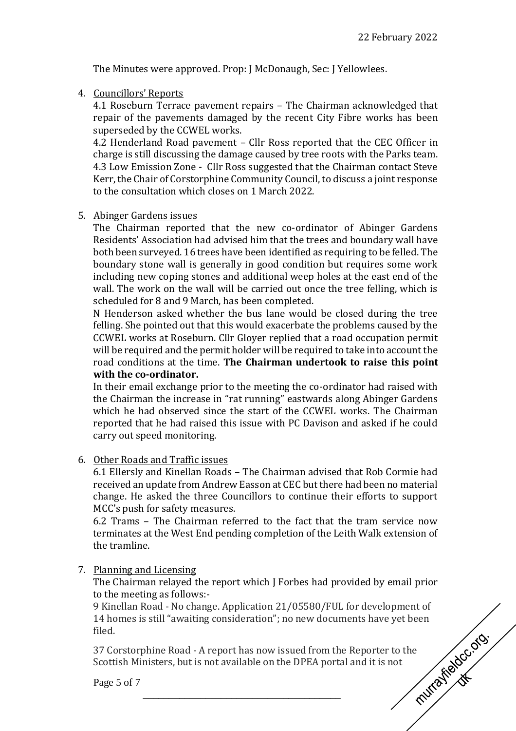The Minutes were approved. Prop: J McDonaugh, Sec: J Yellowlees.

4. Councillors' Reports

4.1 Roseburn Terrace pavement repairs – The Chairman acknowledged that repair of the pavements damaged by the recent City Fibre works has been superseded by the CCWEL works.

4.2 Henderland Road pavement – Cllr Ross reported that the CEC Officer in charge is still discussing the damage caused by tree roots with the Parks team. 4.3 Low Emission Zone - Cllr Ross suggested that the Chairman contact Steve Kerr, the Chair of Corstorphine Community Council, to discuss a joint response to the consultation which closes on 1 March 2022.

## 5. Abinger Gardens issues

The Chairman reported that the new co-ordinator of Abinger Gardens Residents' Association had advised him that the trees and boundary wall have both been surveyed. 16 trees have been identified as requiring to be felled. The boundary stone wall is generally in good condition but requires some work including new coping stones and additional weep holes at the east end of the wall. The work on the wall will be carried out once the tree felling, which is scheduled for 8 and 9 March, has been completed.

N Henderson asked whether the bus lane would be closed during the tree felling. She pointed out that this would exacerbate the problems caused by the CCWEL works at Roseburn. Cllr Gloyer replied that a road occupation permit will be required and the permit holder will be required to take into account the road conditions at the time. **The Chairman undertook to raise this point with the co-ordinator.**

In their email exchange prior to the meeting the co-ordinator had raised with the Chairman the increase in "rat running" eastwards along Abinger Gardens which he had observed since the start of the CCWEL works. The Chairman reported that he had raised this issue with PC Davison and asked if he could carry out speed monitoring.

6. Other Roads and Traffic issues

6.1 Ellersly and Kinellan Roads – The Chairman advised that Rob Cormie had received an update from Andrew Easson at CEC but there had been no material change. He asked the three Councillors to continue their efforts to support MCC's push for safety measures.

6.2 Trams – The Chairman referred to the fact that the tram service now terminates at the West End pending completion of the Leith Walk extension of the tramline.

7. Planning and Licensing

The Chairman relayed the report which J Forbes had provided by email prior to the meeting as follows:-

9 Kinellan Road - No change. Application 21/05580/FUL for development of 14 homes is still "awaiting consideration"; no new documents have yet been<br>filed.<br>37 Corstorphine Road - A report has now issued from the Reporter to the<br>Scottish Ministers, but is not available on the DPEA portal and it i filed.

37 Corstorphine Road - A report has now issued from the Reporter to the Scottish Ministers, but is not available on the DPEA portal and it is not

\_\_\_\_\_\_\_\_\_\_\_\_\_\_\_\_\_\_\_\_\_\_\_\_\_\_\_\_\_\_\_\_\_\_\_\_\_\_

Page 5 of 7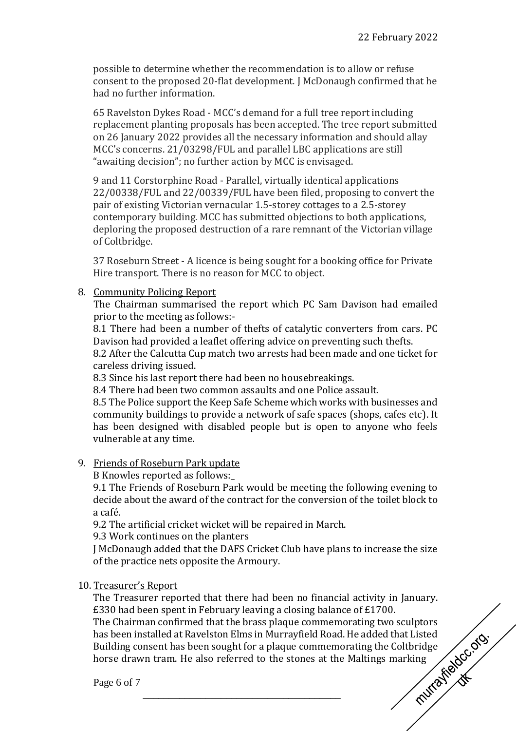possible to determine whether the recommendation is to allow or refuse consent to the proposed 20-flat development. J McDonaugh confirmed that he had no further information.

65 Ravelston Dykes Road - MCC's demand for a full tree report including replacement planting proposals has been accepted. The tree report submitted on 26 January 2022 provides all the necessary information and should allay MCC's concerns. 21/03298/FUL and parallel LBC applications are still "awaiting decision"; no further action by MCC is envisaged.

9 and 11 Corstorphine Road - Parallel, virtually identical applications 22/00338/FUL and 22/00339/FUL have been filed, proposing to convert the pair of existing Victorian vernacular 1.5-storey cottages to a 2.5-storey contemporary building. MCC has submitted objections to both applications, deploring the proposed destruction of a rare remnant of the Victorian village of Coltbridge.

37 Roseburn Street - A licence is being sought for a booking office for Private Hire transport. There is no reason for MCC to object.

8. Community Policing Report

The Chairman summarised the report which PC Sam Davison had emailed prior to the meeting as follows:-

8.1 There had been a number of thefts of catalytic converters from cars. PC Davison had provided a leaflet offering advice on preventing such thefts.

8.2 After the Calcutta Cup match two arrests had been made and one ticket for careless driving issued.

8.3 Since his last report there had been no housebreakings.

8.4 There had been two common assaults and one Police assault.

8.5 The Police support the Keep Safe Scheme which works with businesses and community buildings to provide a network of safe spaces (shops, cafes etc). It has been designed with disabled people but is open to anyone who feels vulnerable at any time.

## 9. Friends of Roseburn Park update

B Knowles reported as follows:\_

9.1 The Friends of Roseburn Park would be meeting the following evening to decide about the award of the contract for the conversion of the toilet block to a café.

9.2 The artificial cricket wicket will be repaired in March.

9.3 Work continues on the planters

J McDonaugh added that the DAFS Cricket Club have plans to increase the size of the practice nets opposite the Armoury.

10. Treasurer's Report

The Treasurer reported that there had been no financial activity in January. £330 had been spent in February leaving a closing balance of £1700.

The Chairman confirmed that the brass plaque commemorating two sculptors<br>has been installed at Ravelston Elms in Murrayfield Road. He added that Listed<br>Building consent has been sought for a plaque commemorating the Coltbr has been installed at Ravelston Elms in Murrayfield Road. He added that Listed Building consent has been sought for a plaque commemorating the Coltbridge horse drawn tram. He also referred to the stones at the Maltings marking

\_\_\_\_\_\_\_\_\_\_\_\_\_\_\_\_\_\_\_\_\_\_\_\_\_\_\_\_\_\_\_\_\_\_\_\_\_\_

Page 6 of 7